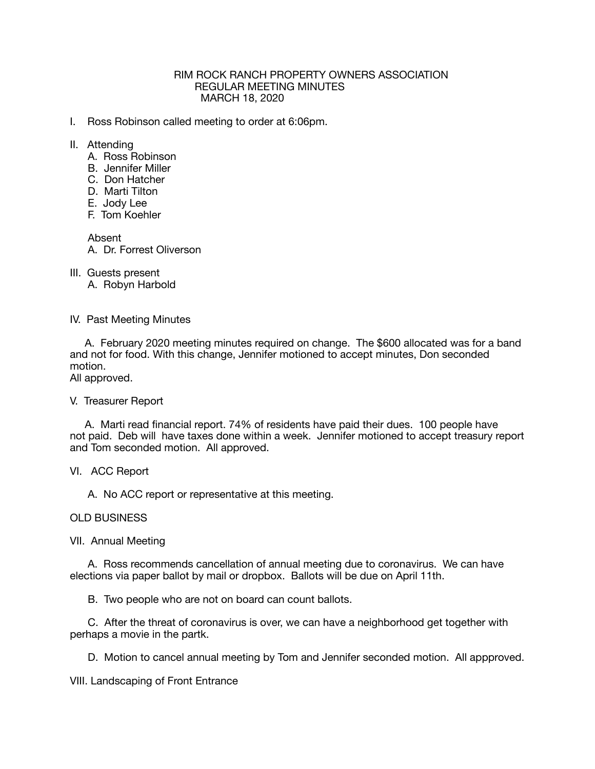### RIM ROCK RANCH PROPERTY OWNERS ASSOCIATION REGULAR MEETING MINUTES MARCH 18, 2020

- I. Ross Robinson called meeting to order at 6:06pm.
- II. Attending
	- A. Ross Robinson
	- B. Jennifer Miller
	- C. Don Hatcher
	- D. Marti Tilton
	- E. Jody Lee
	- F. Tom Koehler

Absent

A. Dr. Forrest Oliverson

III. Guests present

A. Robyn Harbold

### IV. Past Meeting Minutes

 A. February 2020 meeting minutes required on change. The \$600 allocated was for a band and not for food. With this change, Jennifer motioned to accept minutes, Don seconded motion.

All approved.

# V. Treasurer Report

 A. Marti read financial report. 74% of residents have paid their dues. 100 people have not paid. Deb will have taxes done within a week. Jennifer motioned to accept treasury report and Tom seconded motion. All approved.

VI. ACC Report

A. No ACC report or representative at this meeting.

# OLD BUSINESS

VII. Annual Meeting

 A. Ross recommends cancellation of annual meeting due to coronavirus. We can have elections via paper ballot by mail or dropbox. Ballots will be due on April 11th.

B. Two people who are not on board can count ballots.

 C. After the threat of coronavirus is over, we can have a neighborhood get together with perhaps a movie in the partk.

D. Motion to cancel annual meeting by Tom and Jennifer seconded motion. All appproved.

VIII. Landscaping of Front Entrance